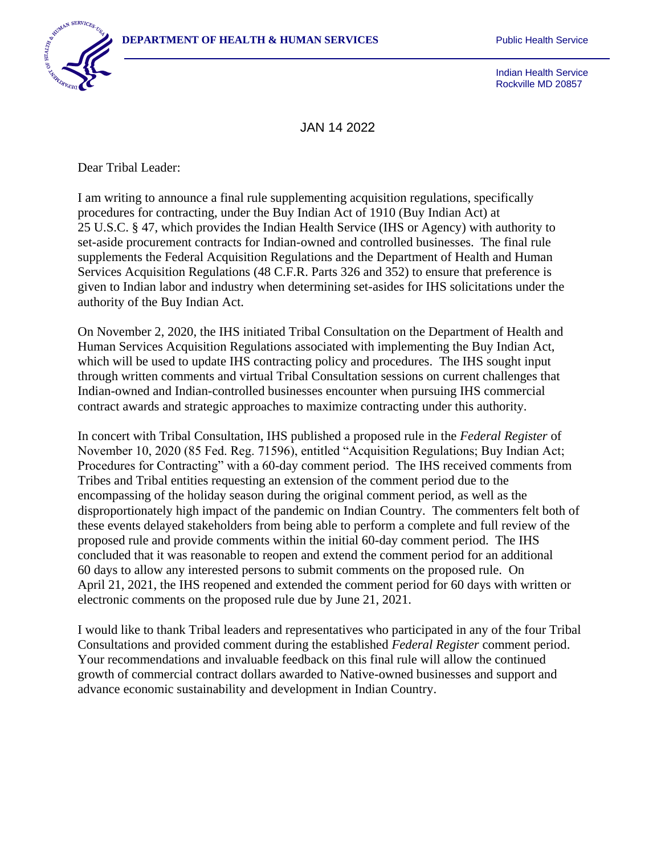

Indian Health Service Rockville MD 20857

JAN 14 2022

Dear Tribal Leader:

I am writing to announce a final rule supplementing acquisition regulations, specifically procedures for contracting, under the Buy Indian Act of 1910 (Buy Indian Act) at 25 U.S.C. § 47, which provides the Indian Health Service (IHS or Agency) with authority to set-aside procurement contracts for Indian-owned and controlled businesses. The final rule supplements the Federal Acquisition Regulations and the Department of Health and Human Services Acquisition Regulations (48 C.F.R. Parts 326 and 352) to ensure that preference is given to Indian labor and industry when determining set-asides for IHS solicitations under the authority of the Buy Indian Act.

On November 2, 2020, the IHS initiated Tribal Consultation on the Department of Health and Human Services Acquisition Regulations associated with implementing the Buy Indian Act, which will be used to update IHS contracting policy and procedures. The IHS sought input through written comments and virtual Tribal Consultation sessions on current challenges that Indian-owned and Indian-controlled businesses encounter when pursuing IHS commercial contract awards and strategic approaches to maximize contracting under this authority.

In concert with Tribal Consultation, IHS published a proposed rule in the *Federal Register* of November 10, 2020 (85 Fed. Reg. 71596), entitled "Acquisition Regulations; Buy Indian Act; Procedures for Contracting" with a 60-day comment period. The IHS received comments from Tribes and Tribal entities requesting an extension of the comment period due to the encompassing of the holiday season during the original comment period, as well as the disproportionately high impact of the pandemic on Indian Country. The commenters felt both of these events delayed stakeholders from being able to perform a complete and full review of the proposed rule and provide comments within the initial 60-day comment period. The IHS concluded that it was reasonable to reopen and extend the comment period for an additional 60 days to allow any interested persons to submit comments on the proposed rule. On April 21, 2021, the IHS reopened and extended the comment period for 60 days with written or electronic comments on the proposed rule due by June 21, 2021.

I would like to thank Tribal leaders and representatives who participated in any of the four Tribal Consultations and provided comment during the established *Federal Register* comment period. Your recommendations and invaluable feedback on this final rule will allow the continued growth of commercial contract dollars awarded to Native-owned businesses and support and advance economic sustainability and development in Indian Country.